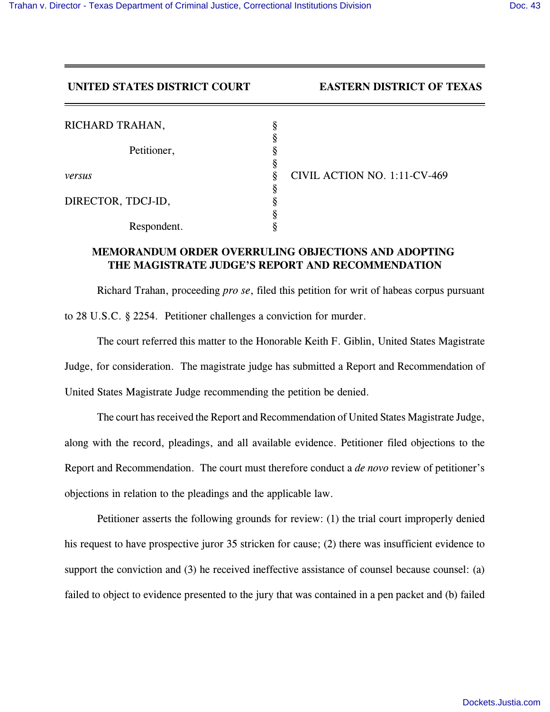## **UNITED STATES DISTRICT COURT EASTERN DISTRICT OF TEXAS**

| RICHARD TRAHAN,    |                              |  |
|--------------------|------------------------------|--|
|                    |                              |  |
| Petitioner,        |                              |  |
|                    |                              |  |
| versus             | CIVIL ACTION NO. 1:11-CV-469 |  |
|                    |                              |  |
| DIRECTOR, TDCJ-ID, |                              |  |
|                    |                              |  |
| Respondent.        |                              |  |

## **MEMORANDUM ORDER OVERRULING OBJECTIONS AND ADOPTING THE MAGISTRATE JUDGE'S REPORT AND RECOMMENDATION**

Richard Trahan, proceeding *pro se*, filed this petition for writ of habeas corpus pursuant to 28 U.S.C. § 2254. Petitioner challenges a conviction for murder.

The court referred this matter to the Honorable Keith F. Giblin, United States Magistrate Judge, for consideration. The magistrate judge has submitted a Report and Recommendation of United States Magistrate Judge recommending the petition be denied.

The court has received the Report and Recommendation of United States Magistrate Judge, along with the record, pleadings, and all available evidence. Petitioner filed objections to the Report and Recommendation. The court must therefore conduct a *de novo* review of petitioner's objections in relation to the pleadings and the applicable law.

Petitioner asserts the following grounds for review: (1) the trial court improperly denied his request to have prospective juror 35 stricken for cause; (2) there was insufficient evidence to support the conviction and (3) he received ineffective assistance of counsel because counsel: (a) failed to object to evidence presented to the jury that was contained in a pen packet and (b) failed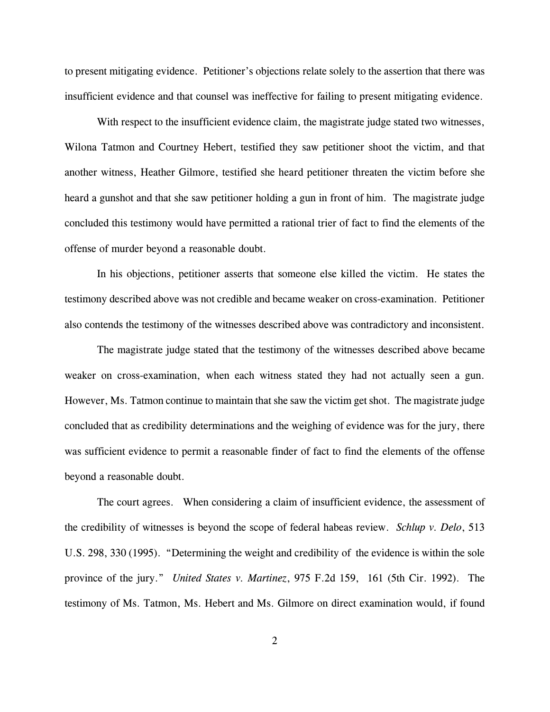to present mitigating evidence. Petitioner's objections relate solely to the assertion that there was insufficient evidence and that counsel was ineffective for failing to present mitigating evidence.

With respect to the insufficient evidence claim, the magistrate judge stated two witnesses, Wilona Tatmon and Courtney Hebert, testified they saw petitioner shoot the victim, and that another witness, Heather Gilmore, testified she heard petitioner threaten the victim before she heard a gunshot and that she saw petitioner holding a gun in front of him. The magistrate judge concluded this testimony would have permitted a rational trier of fact to find the elements of the offense of murder beyond a reasonable doubt.

In his objections, petitioner asserts that someone else killed the victim. He states the testimony described above was not credible and became weaker on cross-examination. Petitioner also contends the testimony of the witnesses described above was contradictory and inconsistent.

The magistrate judge stated that the testimony of the witnesses described above became weaker on cross-examination, when each witness stated they had not actually seen a gun. However, Ms. Tatmon continue to maintain that she saw the victim get shot. The magistrate judge concluded that as credibility determinations and the weighing of evidence was for the jury, there was sufficient evidence to permit a reasonable finder of fact to find the elements of the offense beyond a reasonable doubt.

The court agrees. When considering a claim of insufficient evidence, the assessment of the credibility of witnesses is beyond the scope of federal habeas review. *Schlup v. Delo*, 513 U.S. 298, 330 (1995). "Determining the weight and credibility of the evidence is within the sole province of the jury." *United States v. Martinez*, 975 F.2d 159, 161 (5th Cir. 1992). The testimony of Ms. Tatmon, Ms. Hebert and Ms. Gilmore on direct examination would, if found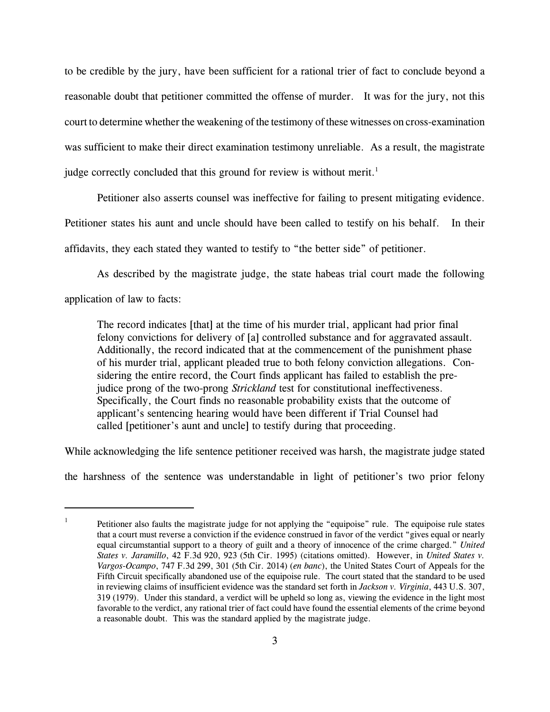to be credible by the jury, have been sufficient for a rational trier of fact to conclude beyond a reasonable doubt that petitioner committed the offense of murder. It was for the jury, not this court to determine whether the weakening of the testimony of these witnesses on cross-examination was sufficient to make their direct examination testimony unreliable. As a result, the magistrate judge correctly concluded that this ground for review is without merit.<sup>1</sup>

Petitioner also asserts counsel was ineffective for failing to present mitigating evidence. Petitioner states his aunt and uncle should have been called to testify on his behalf. In their affidavits, they each stated they wanted to testify to "the better side" of petitioner.

As described by the magistrate judge, the state habeas trial court made the following application of law to facts:

The record indicates [that] at the time of his murder trial, applicant had prior final felony convictions for delivery of [a] controlled substance and for aggravated assault. Additionally, the record indicated that at the commencement of the punishment phase of his murder trial, applicant pleaded true to both felony conviction allegations. Considering the entire record, the Court finds applicant has failed to establish the prejudice prong of the two-prong *Strickland* test for constitutional ineffectiveness. Specifically, the Court finds no reasonable probability exists that the outcome of applicant's sentencing hearing would have been different if Trial Counsel had called [petitioner's aunt and uncle] to testify during that proceeding.

While acknowledging the life sentence petitioner received was harsh, the magistrate judge stated

the harshness of the sentence was understandable in light of petitioner's two prior felony

<sup>1</sup> Petitioner also faults the magistrate judge for not applying the "equipoise" rule. The equipoise rule states that a court must reverse a conviction if the evidence construed in favor of the verdict "gives equal or nearly equal circumstantial support to a theory of guilt and a theory of innocence of the crime charged." *United States v. Jaramillo*, 42 F.3d 920, 923 (5th Cir. 1995) (citations omitted). However, in *United States v. Vargos-Ocampo*, 747 F.3d 299, 301 (5th Cir. 2014) (*en banc*), the United States Court of Appeals for the Fifth Circuit specifically abandoned use of the equipoise rule. The court stated that the standard to be used in reviewing claims of insufficient evidence was the standard set forth in *Jackson v. Virginia*, 443 U.S. 307, 319 (1979). Under this standard, a verdict will be upheld so long as, viewing the evidence in the light most favorable to the verdict, any rational trier of fact could have found the essential elements of the crime beyond a reasonable doubt. This was the standard applied by the magistrate judge.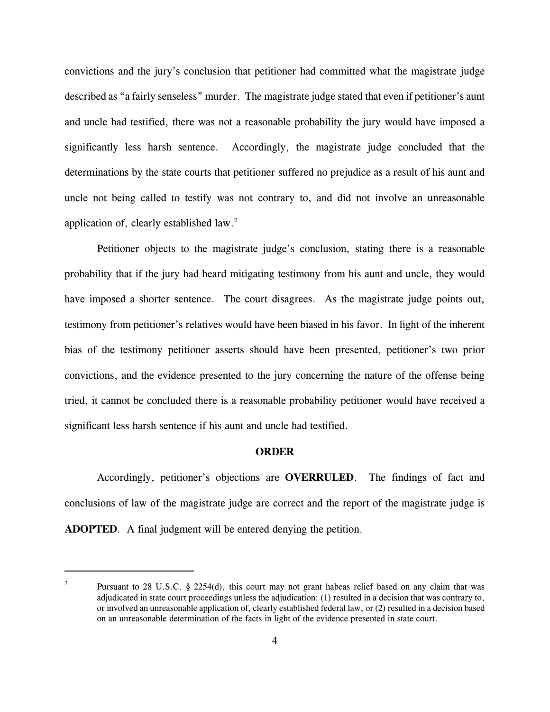convictions and the jury's conclusion that petitioner had committed what the magistrate judge described as "a fairly senseless" murder. The magistrate judge stated that even if petitioner's aunt and uncle had testified, there was not a reasonable probability the jury would have imposed a significantly less harsh sentence. Accordingly, the magistrate judge concluded that the determinations by the state courts that petitioner suffered no prejudice as a result of his aunt and uncle not being called to testify was not contrary to, and did not involve an unreasonable application of, clearly established law.<sup>2</sup>

Petitioner objects to the magistrate judge's conclusion, stating there is a reasonable probability that if the jury had heard mitigating testimony from his aunt and uncle, they would have imposed a shorter sentence. The court disagrees. As the magistrate judge points out, testimony from petitioner's relatives would have been biased in his favor. In light of the inherent bias of the testimony petitioner asserts should have been presented, petitioner's two prior convictions, and the evidence presented to the jury concerning the nature of the offense being tried, it cannot be concluded there is a reasonable probability petitioner would have received a significant less harsh sentence if his aunt and uncle had testified.

## **ORDER**

Accordingly, petitioner's objections are **OVERRULED**. The findings of fact and conclusions of law of the magistrate judge are correct and the report of the magistrate judge is **ADOPTED**. A final judgment will be entered denying the petition.

<sup>2</sup> Pursuant to 28 U.S.C. § 2254(d), this court may not grant habeas relief based on any claim that was adjudicated in state court proceedings unless the adjudication: (1) resulted in a decision that was contrary to, or involved an unreasonable application of, clearly established federal law, or (2) resulted in a decision based on an unreasonable determination of the facts in light of the evidence presented in state court.